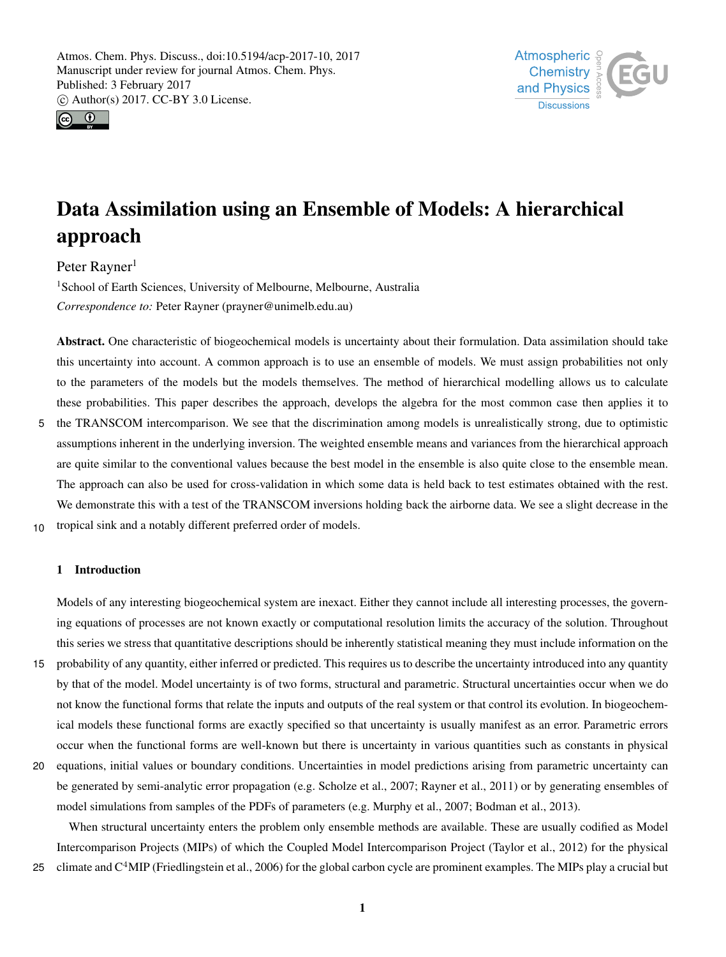



# Data Assimilation using an Ensemble of Models: A hierarchical approach

Peter Rayner<sup>1</sup>

<sup>1</sup>School of Earth Sciences, University of Melbourne, Melbourne, Australia *Correspondence to:* Peter Rayner (prayner@unimelb.edu.au)

Abstract. One characteristic of biogeochemical models is uncertainty about their formulation. Data assimilation should take this uncertainty into account. A common approach is to use an ensemble of models. We must assign probabilities not only to the parameters of the models but the models themselves. The method of hierarchical modelling allows us to calculate these probabilities. This paper describes the approach, develops the algebra for the most common case then applies it to 5 the TRANSCOM intercomparison. We see that the discrimination among models is unrealistically strong, due to optimistic assumptions inherent in the underlying inversion. The weighted ensemble means and variances from the hierarchical approach are quite similar to the conventional values because the best model in the ensemble is also quite close to the ensemble mean. The approach can also be used for cross-validation in which some data is held back to test estimates obtained with the rest. We demonstrate this with a test of the TRANSCOM inversions holding back the airborne data. We see a slight decrease in the

10 tropical sink and a notably different preferred order of models.

# 1 Introduction

Models of any interesting biogeochemical system are inexact. Either they cannot include all interesting processes, the governing equations of processes are not known exactly or computational resolution limits the accuracy of the solution. Throughout this series we stress that quantitative descriptions should be inherently statistical meaning they must include information on the

- 15 probability of any quantity, either inferred or predicted. This requires us to describe the uncertainty introduced into any quantity by that of the model. Model uncertainty is of two forms, structural and parametric. Structural uncertainties occur when we do not know the functional forms that relate the inputs and outputs of the real system or that control its evolution. In biogeochemical models these functional forms are exactly specified so that uncertainty is usually manifest as an error. Parametric errors occur when the functional forms are well-known but there is uncertainty in various quantities such as constants in physical
- 20 equations, initial values or boundary conditions. Uncertainties in model predictions arising from parametric uncertainty can be generated by semi-analytic error propagation (e.g. Scholze et al., 2007; Rayner et al., 2011) or by generating ensembles of model simulations from samples of the PDFs of parameters (e.g. Murphy et al., 2007; Bodman et al., 2013).

When structural uncertainty enters the problem only ensemble methods are available. These are usually codified as Model Intercomparison Projects (MIPs) of which the Coupled Model Intercomparison Project (Taylor et al., 2012) for the physical 25 climate and  $C<sup>4</sup>$ MIP (Friedlingstein et al., 2006) for the global carbon cycle are prominent examples. The MIPs play a crucial but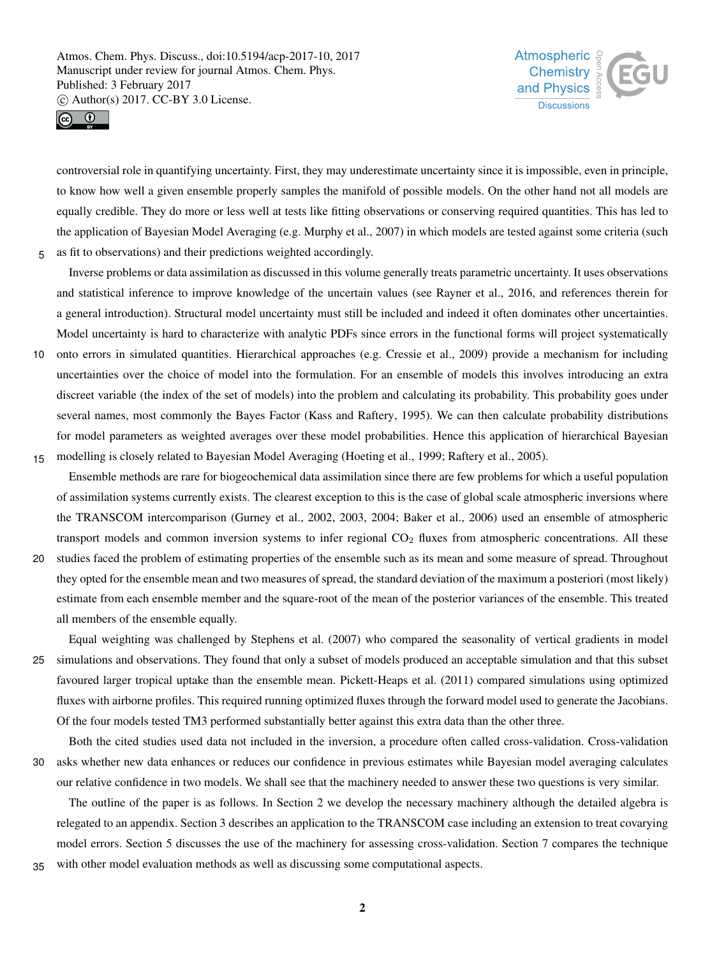



controversial role in quantifying uncertainty. First, they may underestimate uncertainty since it is impossible, even in principle, to know how well a given ensemble properly samples the manifold of possible models. On the other hand not all models are equally credible. They do more or less well at tests like fitting observations or conserving required quantities. This has led to the application of Bayesian Model Averaging (e.g. Murphy et al., 2007) in which models are tested against some criteria (such 5 as fit to observations) and their predictions weighted accordingly.

Inverse problems or data assimilation as discussed in this volume generally treats parametric uncertainty. It uses observations and statistical inference to improve knowledge of the uncertain values (see Rayner et al., 2016, and references therein for a general introduction). Structural model uncertainty must still be included and indeed it often dominates other uncertainties. Model uncertainty is hard to characterize with analytic PDFs since errors in the functional forms will project systematically

10 onto errors in simulated quantities. Hierarchical approaches (e.g. Cressie et al., 2009) provide a mechanism for including uncertainties over the choice of model into the formulation. For an ensemble of models this involves introducing an extra discreet variable (the index of the set of models) into the problem and calculating its probability. This probability goes under several names, most commonly the Bayes Factor (Kass and Raftery, 1995). We can then calculate probability distributions for model parameters as weighted averages over these model probabilities. Hence this application of hierarchical Bayesian 15 modelling is closely related to Bayesian Model Averaging (Hoeting et al., 1999; Raftery et al., 2005).

Ensemble methods are rare for biogeochemical data assimilation since there are few problems for which a useful population of assimilation systems currently exists. The clearest exception to this is the case of global scale atmospheric inversions where the TRANSCOM intercomparison (Gurney et al., 2002, 2003, 2004; Baker et al., 2006) used an ensemble of atmospheric transport models and common inversion systems to infer regional  $CO<sub>2</sub>$  fluxes from atmospheric concentrations. All these

20 studies faced the problem of estimating properties of the ensemble such as its mean and some measure of spread. Throughout they opted for the ensemble mean and two measures of spread, the standard deviation of the maximum a posteriori (most likely) estimate from each ensemble member and the square-root of the mean of the posterior variances of the ensemble. This treated all members of the ensemble equally.

Equal weighting was challenged by Stephens et al. (2007) who compared the seasonality of vertical gradients in model 25 simulations and observations. They found that only a subset of models produced an acceptable simulation and that this subset favoured larger tropical uptake than the ensemble mean. Pickett-Heaps et al. (2011) compared simulations using optimized fluxes with airborne profiles. This required running optimized fluxes through the forward model used to generate the Jacobians. Of the four models tested TM3 performed substantially better against this extra data than the other three.

Both the cited studies used data not included in the inversion, a procedure often called cross-validation. Cross-validation 30 asks whether new data enhances or reduces our confidence in previous estimates while Bayesian model averaging calculates our relative confidence in two models. We shall see that the machinery needed to answer these two questions is very similar.

The outline of the paper is as follows. In Section 2 we develop the necessary machinery although the detailed algebra is relegated to an appendix. Section 3 describes an application to the TRANSCOM case including an extension to treat covarying model errors. Section 5 discusses the use of the machinery for assessing cross-validation. Section 7 compares the technique

35 with other model evaluation methods as well as discussing some computational aspects.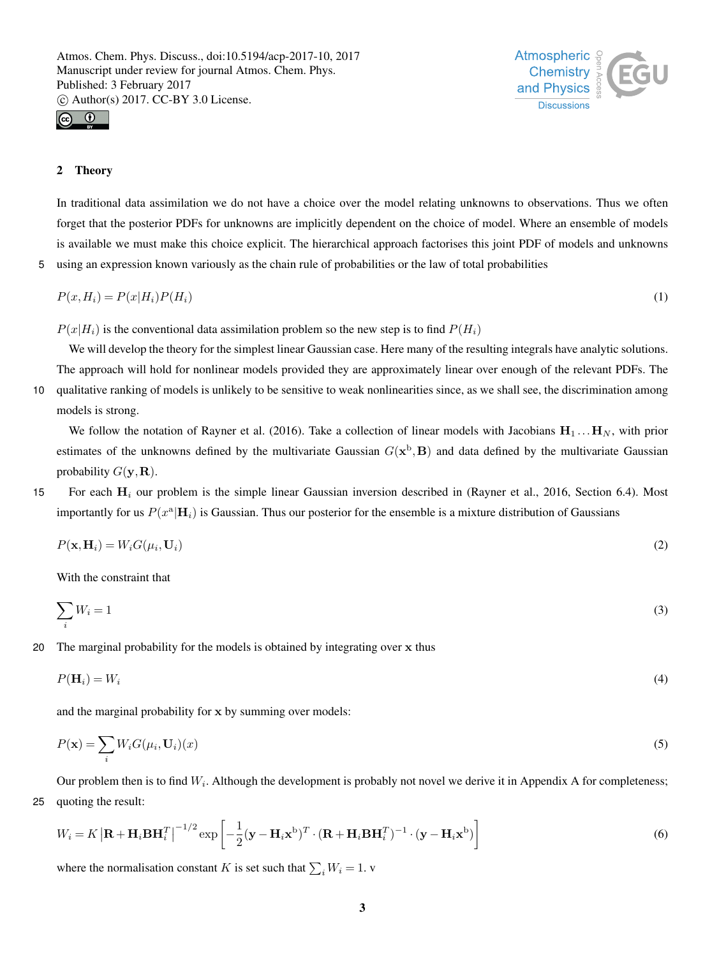



#### 2 Theory

In traditional data assimilation we do not have a choice over the model relating unknowns to observations. Thus we often forget that the posterior PDFs for unknowns are implicitly dependent on the choice of model. Where an ensemble of models is available we must make this choice explicit. The hierarchical approach factorises this joint PDF of models and unknowns 5 using an expression known variously as the chain rule of probabilities or the law of total probabilities

$$
P(x, H_i) = P(x|H_i)P(H_i)
$$
\n<sup>(1)</sup>

 $P(x|H_i)$  is the conventional data assimilation problem so the new step is to find  $P(H_i)$ 

We will develop the theory for the simplest linear Gaussian case. Here many of the resulting integrals have analytic solutions. The approach will hold for nonlinear models provided they are approximately linear over enough of the relevant PDFs. The 10 qualitative ranking of models is unlikely to be sensitive to weak nonlinearities since, as we shall see, the discrimination among models is strong.

We follow the notation of Rayner et al. (2016). Take a collection of linear models with Jacobians  $H_1 \dots H_N$ , with prior estimates of the unknowns defined by the multivariate Gaussian  $G(x^b, B)$  and data defined by the multivariate Gaussian probability  $G(\mathbf{y},\mathbf{R})$ .

15 For each  $H_i$  our problem is the simple linear Gaussian inversion described in (Rayner et al., 2016, Section 6.4). Most importantly for us  $P(x^a|\mathbf{H}_i)$  is Gaussian. Thus our posterior for the ensemble is a mixture distribution of Gaussians

$$
P(\mathbf{x}, \mathbf{H}_i) = W_i G(\mu_i, \mathbf{U}_i)
$$
\n<sup>(2)</sup>

With the constraint that

$$
\sum_{i} W_i = 1 \tag{3}
$$

20 The marginal probability for the models is obtained by integrating over  $x$  thus

$$
P(\mathbf{H}_i) = W_i \tag{4}
$$

and the marginal probability for x by summing over models:

$$
P(\mathbf{x}) = \sum_{i} W_i G(\mu_i, \mathbf{U}_i)(x)
$$
\n(5)

Our problem then is to find  $W_i$ . Although the development is probably not novel we derive it in Appendix A for completeness; 25 quoting the result:

$$
W_i = K \left| \mathbf{R} + \mathbf{H}_i \mathbf{B} \mathbf{H}_i^T \right|^{-1/2} \exp \left[ -\frac{1}{2} (\mathbf{y} - \mathbf{H}_i \mathbf{x}^{\mathrm{b}})^T \cdot (\mathbf{R} + \mathbf{H}_i \mathbf{B} \mathbf{H}_i^T)^{-1} \cdot (\mathbf{y} - \mathbf{H}_i \mathbf{x}^{\mathrm{b}}) \right]
$$
(6)

where the normalisation constant K is set such that  $\sum_i W_i = 1$ .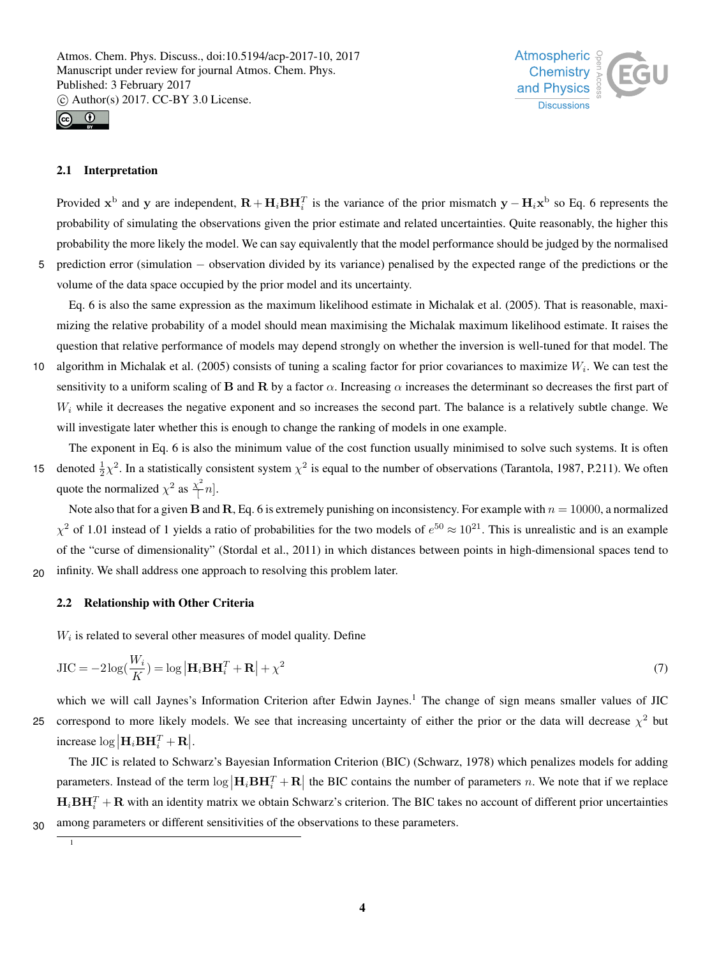



### 2.1 Interpretation

Provided  $x^b$  and y are independent,  $R + H_i BH_i^T$  is the variance of the prior mismatch  $y - H_i x^b$  so Eq. 6 represents the probability of simulating the observations given the prior estimate and related uncertainties. Quite reasonably, the higher this probability the more likely the model. We can say equivalently that the model performance should be judged by the normalised <sup>5</sup> prediction error (simulation − observation divided by its variance) penalised by the expected range of the predictions or the volume of the data space occupied by the prior model and its uncertainty.

Eq. 6 is also the same expression as the maximum likelihood estimate in Michalak et al. (2005). That is reasonable, maximizing the relative probability of a model should mean maximising the Michalak maximum likelihood estimate. It raises the question that relative performance of models may depend strongly on whether the inversion is well-tuned for that model. The

10 algorithm in Michalak et al. (2005) consists of tuning a scaling factor for prior covariances to maximize  $W_i$ . We can test the sensitivity to a uniform scaling of B and R by a factor  $\alpha$ . Increasing  $\alpha$  increases the determinant so decreases the first part of  $W_i$  while it decreases the negative exponent and so increases the second part. The balance is a relatively subtle change. We will investigate later whether this is enough to change the ranking of models in one example.

The exponent in Eq. 6 is also the minimum value of the cost function usually minimised to solve such systems. It is often 15 denoted  $\frac{1}{2}\chi^2$ . In a statistically consistent system  $\chi^2$  is equal to the number of observations (Tarantola, 1987, P.211). We often quote the normalized  $\chi^2$  as  $\frac{\chi^2}{4}$  $\subsetneq n$ .

Note also that for a given B and R, Eq. 6 is extremely punishing on inconsistency. For example with  $n = 10000$ , a normalized  $\chi^2$  of 1.01 instead of 1 yields a ratio of probabilities for the two models of  $e^{50} \approx 10^{21}$ . This is unrealistic and is an example of the "curse of dimensionality" (Stordal et al., 2011) in which distances between points in high-dimensional spaces tend to 20 infinity. We shall address one approach to resolving this problem later.

# 2.2 Relationship with Other Criteria

 $W_i$  is related to several other measures of model quality. Define

$$
JIC = -2\log(\frac{W_i}{K}) = \log|\mathbf{H}_i \mathbf{B} \mathbf{H}_i^T + \mathbf{R}| + \chi^2
$$
\n(7)

which we will call Jaynes's Information Criterion after Edwin Jaynes.<sup>1</sup> The change of sign means smaller values of JIC 25 correspond to more likely models. We see that increasing uncertainty of either the prior or the data will decrease  $\chi^2$  but increase  $\log \left| \mathbf{H}_i \mathbf{B} \mathbf{H}_i^T + \mathbf{R} \right|$ .

The JIC is related to Schwarz's Bayesian Information Criterion (BIC) (Schwarz, 1978) which penalizes models for adding parameters. Instead of the term  $\log|\mathbf{H}_i\mathbf{BH}_i^T + \mathbf{R}|$  the BIC contains the number of parameters n. We note that if we replace  $H_i$ **BH** $_i^T$  + **R** with an identity matrix we obtain Schwarz's criterion. The BIC takes no account of different prior uncertainties 30 among parameters or different sensitivities of the observations to these parameters.

1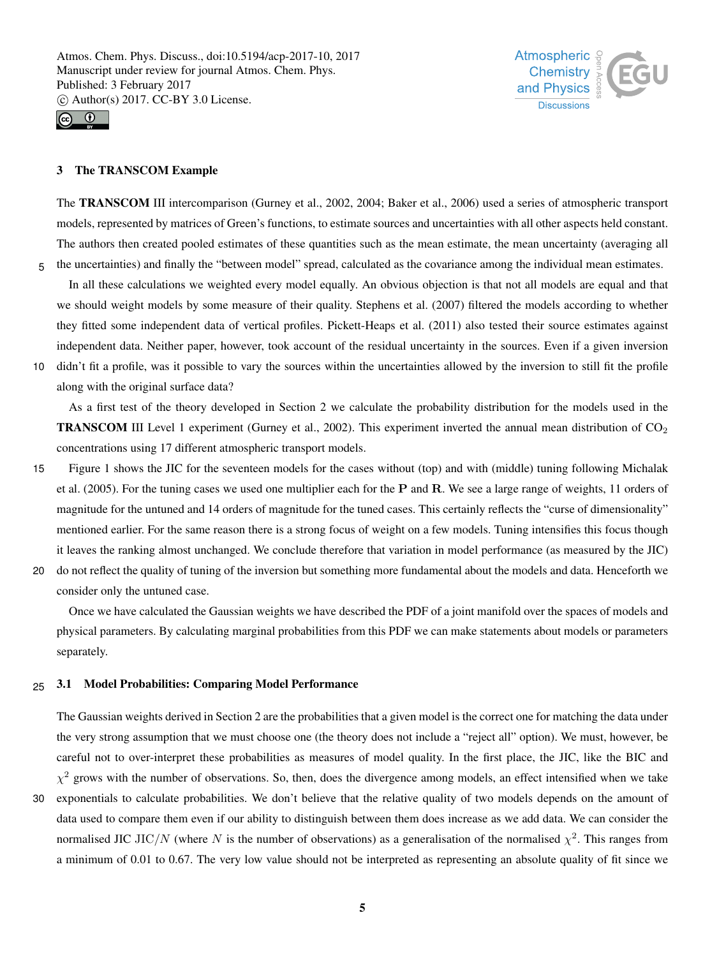



#### 3 The TRANSCOM Example

The TRANSCOM III intercomparison (Gurney et al., 2002, 2004; Baker et al., 2006) used a series of atmospheric transport models, represented by matrices of Green's functions, to estimate sources and uncertainties with all other aspects held constant. The authors then created pooled estimates of these quantities such as the mean estimate, the mean uncertainty (averaging all 5 the uncertainties) and finally the "between model" spread, calculated as the covariance among the individual mean estimates.

In all these calculations we weighted every model equally. An obvious objection is that not all models are equal and that we should weight models by some measure of their quality. Stephens et al. (2007) filtered the models according to whether they fitted some independent data of vertical profiles. Pickett-Heaps et al. (2011) also tested their source estimates against independent data. Neither paper, however, took account of the residual uncertainty in the sources. Even if a given inversion

10 didn't fit a profile, was it possible to vary the sources within the uncertainties allowed by the inversion to still fit the profile

along with the original surface data?

As a first test of the theory developed in Section 2 we calculate the probability distribution for the models used in the **TRANSCOM** III Level 1 experiment (Gurney et al., 2002). This experiment inverted the annual mean distribution of  $CO<sub>2</sub>$ concentrations using 17 different atmospheric transport models.

- 15 Figure 1 shows the JIC for the seventeen models for the cases without (top) and with (middle) tuning following Michalak et al. (2005). For the tuning cases we used one multiplier each for the  $P$  and  $R$ . We see a large range of weights, 11 orders of magnitude for the untuned and 14 orders of magnitude for the tuned cases. This certainly reflects the "curse of dimensionality" mentioned earlier. For the same reason there is a strong focus of weight on a few models. Tuning intensifies this focus though it leaves the ranking almost unchanged. We conclude therefore that variation in model performance (as measured by the JIC)
- 20 do not reflect the quality of tuning of the inversion but something more fundamental about the models and data. Henceforth we consider only the untuned case.

Once we have calculated the Gaussian weights we have described the PDF of a joint manifold over the spaces of models and physical parameters. By calculating marginal probabilities from this PDF we can make statements about models or parameters separately.

#### 25 3.1 Model Probabilities: Comparing Model Performance

The Gaussian weights derived in Section 2 are the probabilities that a given model is the correct one for matching the data under the very strong assumption that we must choose one (the theory does not include a "reject all" option). We must, however, be careful not to over-interpret these probabilities as measures of model quality. In the first place, the JIC, like the BIC and  $\chi^2$  grows with the number of observations. So, then, does the divergence among models, an effect intensified when we take 30 exponentials to calculate probabilities. We don't believe that the relative quality of two models depends on the amount of data used to compare them even if our ability to distinguish between them does increase as we add data. We can consider the normalised JIC JIC/N (where N is the number of observations) as a generalisation of the normalised  $\chi^2$ . This ranges from a minimum of 0.01 to 0.67. The very low value should not be interpreted as representing an absolute quality of fit since we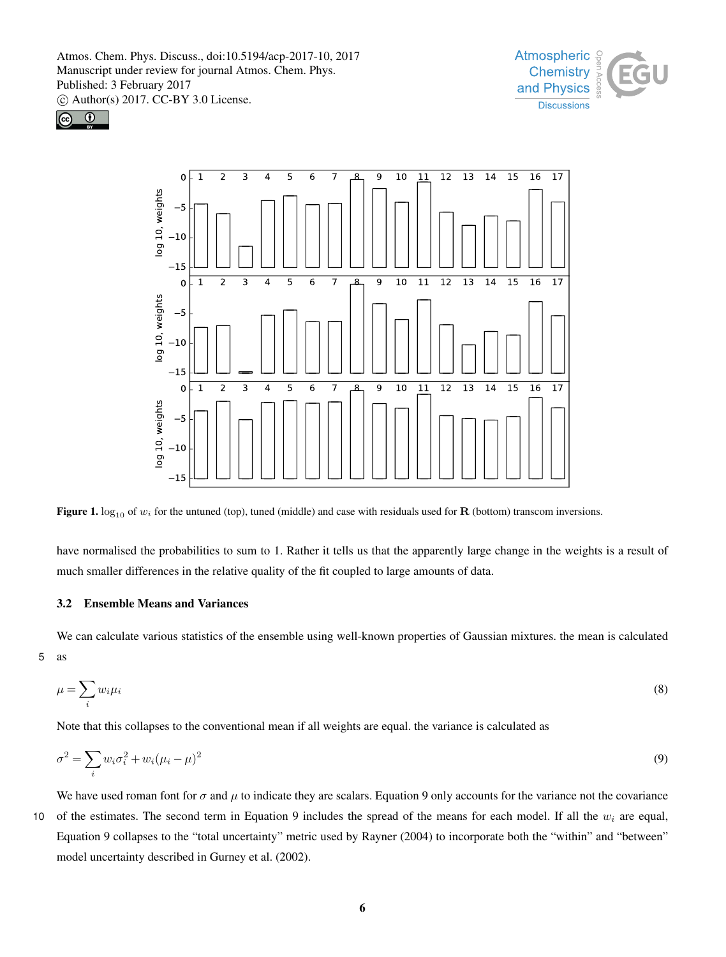





Figure 1.  $\log_{10}$  of  $w_i$  for the untuned (top), tuned (middle) and case with residuals used for **R** (bottom) transcom inversions.

have normalised the probabilities to sum to 1. Rather it tells us that the apparently large change in the weights is a result of much smaller differences in the relative quality of the fit coupled to large amounts of data.

# 3.2 Ensemble Means and Variances

We can calculate various statistics of the ensemble using well-known properties of Gaussian mixtures. the mean is calculated 5 as

$$
\mu = \sum_{i} w_i \mu_i \tag{8}
$$

Note that this collapses to the conventional mean if all weights are equal. the variance is calculated as

$$
\sigma^2 = \sum_i w_i \sigma_i^2 + w_i (\mu_i - \mu)^2
$$
\n(9)

We have used roman font for  $\sigma$  and  $\mu$  to indicate they are scalars. Equation 9 only accounts for the variance not the covariance 10 of the estimates. The second term in Equation 9 includes the spread of the means for each model. If all the  $w_i$  are equal, Equation 9 collapses to the "total uncertainty" metric used by Rayner (2004) to incorporate both the "within" and "between" model uncertainty described in Gurney et al. (2002).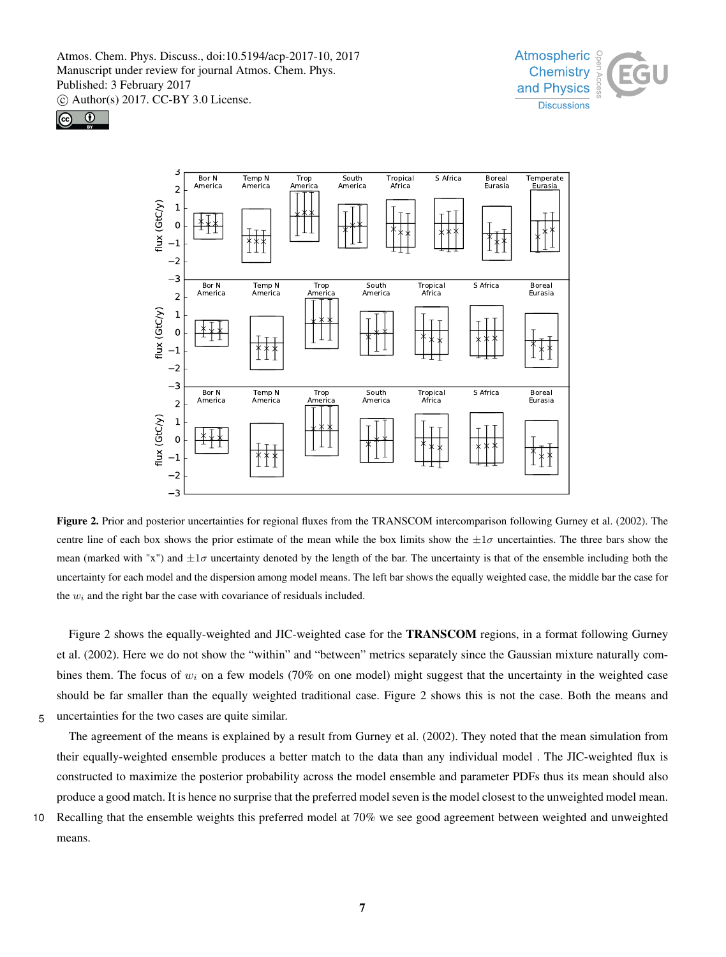





Figure 2. Prior and posterior uncertainties for regional fluxes from the TRANSCOM intercomparison following Gurney et al. (2002). The centre line of each box shows the prior estimate of the mean while the box limits show the  $\pm 1\sigma$  uncertainties. The three bars show the mean (marked with "x") and  $\pm 1\sigma$  uncertainty denoted by the length of the bar. The uncertainty is that of the ensemble including both the uncertainty for each model and the dispersion among model means. The left bar shows the equally weighted case, the middle bar the case for the  $w_i$  and the right bar the case with covariance of residuals included.

Figure 2 shows the equally-weighted and JIC-weighted case for the TRANSCOM regions, in a format following Gurney et al. (2002). Here we do not show the "within" and "between" metrics separately since the Gaussian mixture naturally combines them. The focus of  $w_i$  on a few models (70% on one model) might suggest that the uncertainty in the weighted case should be far smaller than the equally weighted traditional case. Figure 2 shows this is not the case. Both the means and 5 uncertainties for the two cases are quite similar.

The agreement of the means is explained by a result from Gurney et al. (2002). They noted that the mean simulation from their equally-weighted ensemble produces a better match to the data than any individual model . The JIC-weighted flux is constructed to maximize the posterior probability across the model ensemble and parameter PDFs thus its mean should also produce a good match. It is hence no surprise that the preferred model seven is the model closest to the unweighted model mean.

10 Recalling that the ensemble weights this preferred model at 70% we see good agreement between weighted and unweighted means.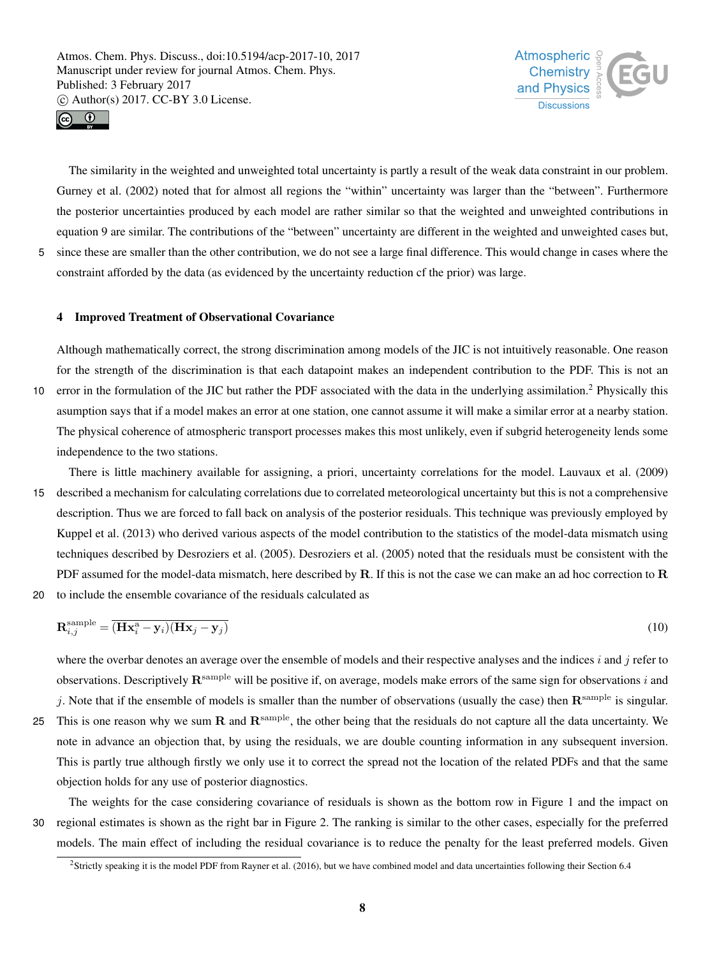



The similarity in the weighted and unweighted total uncertainty is partly a result of the weak data constraint in our problem. Gurney et al. (2002) noted that for almost all regions the "within" uncertainty was larger than the "between". Furthermore the posterior uncertainties produced by each model are rather similar so that the weighted and unweighted contributions in equation 9 are similar. The contributions of the "between" uncertainty are different in the weighted and unweighted cases but, 5 since these are smaller than the other contribution, we do not see a large final difference. This would change in cases where the

# constraint afforded by the data (as evidenced by the uncertainty reduction cf the prior) was large.

#### 4 Improved Treatment of Observational Covariance

Although mathematically correct, the strong discrimination among models of the JIC is not intuitively reasonable. One reason for the strength of the discrimination is that each datapoint makes an independent contribution to the PDF. This is not an 10 error in the formulation of the JIC but rather the PDF associated with the data in the underlying assimilation.<sup>2</sup> Physically this asumption says that if a model makes an error at one station, one cannot assume it will make a similar error at a nearby station. The physical coherence of atmospheric transport processes makes this most unlikely, even if subgrid heterogeneity lends some independence to the two stations.

There is little machinery available for assigning, a priori, uncertainty correlations for the model. Lauvaux et al. (2009) 15 described a mechanism for calculating correlations due to correlated meteorological uncertainty but this is not a comprehensive description. Thus we are forced to fall back on analysis of the posterior residuals. This technique was previously employed by Kuppel et al. (2013) who derived various aspects of the model contribution to the statistics of the model-data mismatch using techniques described by Desroziers et al. (2005). Desroziers et al. (2005) noted that the residuals must be consistent with the PDF assumed for the model-data mismatch, here described by  $R$ . If this is not the case we can make an ad hoc correction to  $R$ 20 to include the ensemble covariance of the residuals calculated as

$$
\mathbf{R}_{i,j}^{\text{sample}} = \overline{(\mathbf{H}\mathbf{x}_i^{\text{a}} - \mathbf{y}_i)(\mathbf{H}\mathbf{x}_j - \mathbf{y}_j)}
$$
(10)

where the overbar denotes an average over the ensemble of models and their respective analyses and the indices  $i$  and  $j$  refer to observations. Descriptively  $\mathbf{R}^{\text{sample}}$  will be positive if, on average, models make errors of the same sign for observations i and j. Note that if the ensemble of models is smaller than the number of observations (usually the case) then  $\mathbf{R}^{\text{sample}}$  is singular. 25 This is one reason why we sum  $\bf{R}$  and  $\bf{R}^{\text{sample}}$ , the other being that the residuals do not capture all the data uncertainty. We note in advance an objection that, by using the residuals, we are double counting information in any subsequent inversion. This is partly true although firstly we only use it to correct the spread not the location of the related PDFs and that the same objection holds for any use of posterior diagnostics.

The weights for the case considering covariance of residuals is shown as the bottom row in Figure 1 and the impact on 30 regional estimates is shown as the right bar in Figure 2. The ranking is similar to the other cases, especially for the preferred models. The main effect of including the residual covariance is to reduce the penalty for the least preferred models. Given

 ${}^{2}$ Strictly speaking it is the model PDF from Rayner et al. (2016), but we have combined model and data uncertainties following their Section 6.4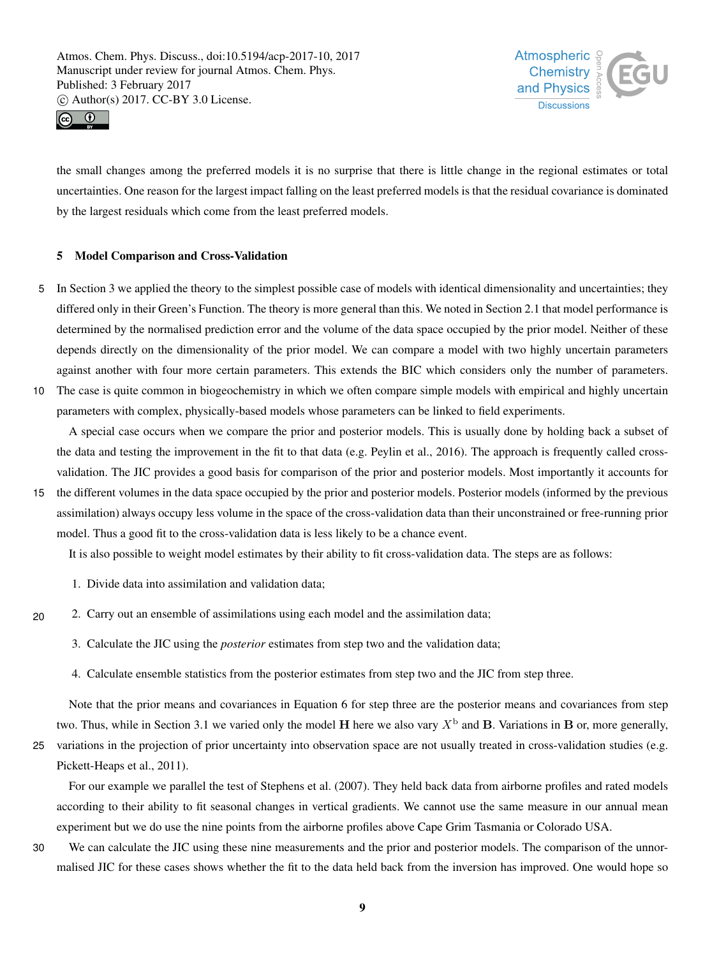



the small changes among the preferred models it is no surprise that there is little change in the regional estimates or total uncertainties. One reason for the largest impact falling on the least preferred models is that the residual covariance is dominated by the largest residuals which come from the least preferred models.

# 5 Model Comparison and Cross-Validation

- 5 In Section 3 we applied the theory to the simplest possible case of models with identical dimensionality and uncertainties; they differed only in their Green's Function. The theory is more general than this. We noted in Section 2.1 that model performance is determined by the normalised prediction error and the volume of the data space occupied by the prior model. Neither of these depends directly on the dimensionality of the prior model. We can compare a model with two highly uncertain parameters against another with four more certain parameters. This extends the BIC which considers only the number of parameters. 10 The case is quite common in biogeochemistry in which we often compare simple models with empirical and highly uncertain
	- parameters with complex, physically-based models whose parameters can be linked to field experiments.

A special case occurs when we compare the prior and posterior models. This is usually done by holding back a subset of the data and testing the improvement in the fit to that data (e.g. Peylin et al., 2016). The approach is frequently called crossvalidation. The JIC provides a good basis for comparison of the prior and posterior models. Most importantly it accounts for

15 the different volumes in the data space occupied by the prior and posterior models. Posterior models (informed by the previous assimilation) always occupy less volume in the space of the cross-validation data than their unconstrained or free-running prior model. Thus a good fit to the cross-validation data is less likely to be a chance event.

It is also possible to weight model estimates by their ability to fit cross-validation data. The steps are as follows:

- 1. Divide data into assimilation and validation data;
- 20 2. Carry out an ensemble of assimilations using each model and the assimilation data;
	- 3. Calculate the JIC using the *posterior* estimates from step two and the validation data;
	- 4. Calculate ensemble statistics from the posterior estimates from step two and the JIC from step three.

Note that the prior means and covariances in Equation 6 for step three are the posterior means and covariances from step two. Thus, while in Section 3.1 we varied only the model H here we also vary  $X^{\rm b}$  and B. Variations in B or, more generally,

25 variations in the projection of prior uncertainty into observation space are not usually treated in cross-validation studies (e.g. Pickett-Heaps et al., 2011).

For our example we parallel the test of Stephens et al. (2007). They held back data from airborne profiles and rated models according to their ability to fit seasonal changes in vertical gradients. We cannot use the same measure in our annual mean experiment but we do use the nine points from the airborne profiles above Cape Grim Tasmania or Colorado USA.

30 We can calculate the JIC using these nine measurements and the prior and posterior models. The comparison of the unnormalised JIC for these cases shows whether the fit to the data held back from the inversion has improved. One would hope so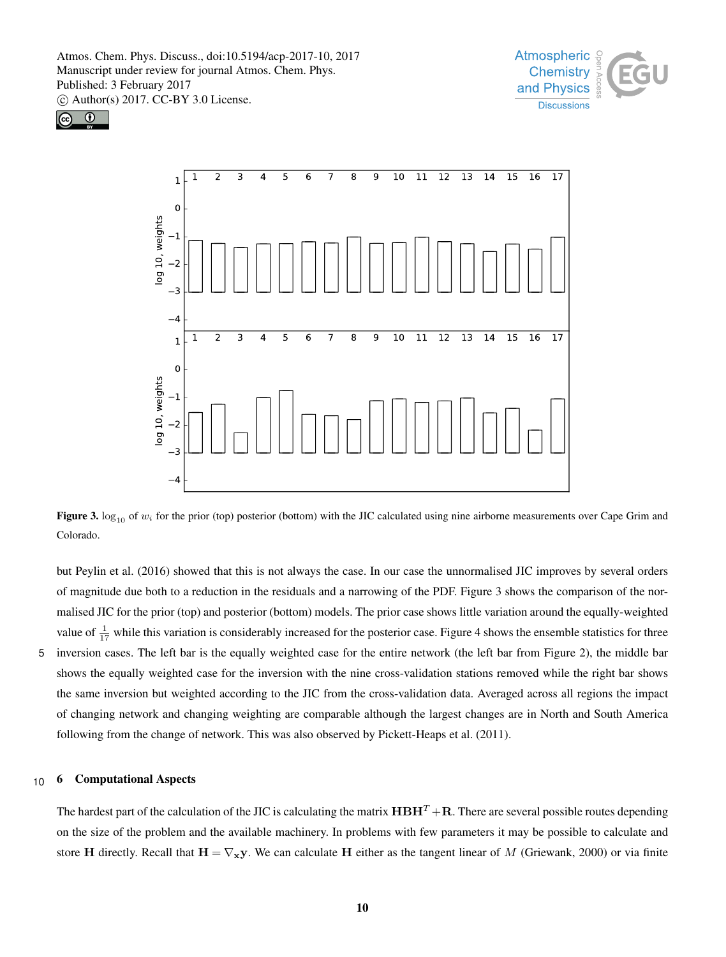





Figure 3.  $\log_{10}$  of w<sub>i</sub> for the prior (top) posterior (bottom) with the JIC calculated using nine airborne measurements over Cape Grim and Colorado.

but Peylin et al. (2016) showed that this is not always the case. In our case the unnormalised JIC improves by several orders of magnitude due both to a reduction in the residuals and a narrowing of the PDF. Figure 3 shows the comparison of the normalised JIC for the prior (top) and posterior (bottom) models. The prior case shows little variation around the equally-weighted value of  $\frac{1}{17}$  while this variation is considerably increased for the posterior case. Figure 4 shows the ensemble statistics for three 5 inversion cases. The left bar is the equally weighted case for the entire network (the left bar from Figure 2), the middle bar shows the equally weighted case for the inversion with the nine cross-validation stations removed while the right bar shows the same inversion but weighted according to the JIC from the cross-validation data. Averaged across all regions the impact of changing network and changing weighting are comparable although the largest changes are in North and South America following from the change of network. This was also observed by Pickett-Heaps et al. (2011).

#### 10 6 Computational Aspects

The hardest part of the calculation of the JIC is calculating the matrix  $H \cdot H \cdot R$ . There are several possible routes depending on the size of the problem and the available machinery. In problems with few parameters it may be possible to calculate and store H directly. Recall that  $H = \nabla_x y$ . We can calculate H either as the tangent linear of M (Griewank, 2000) or via finite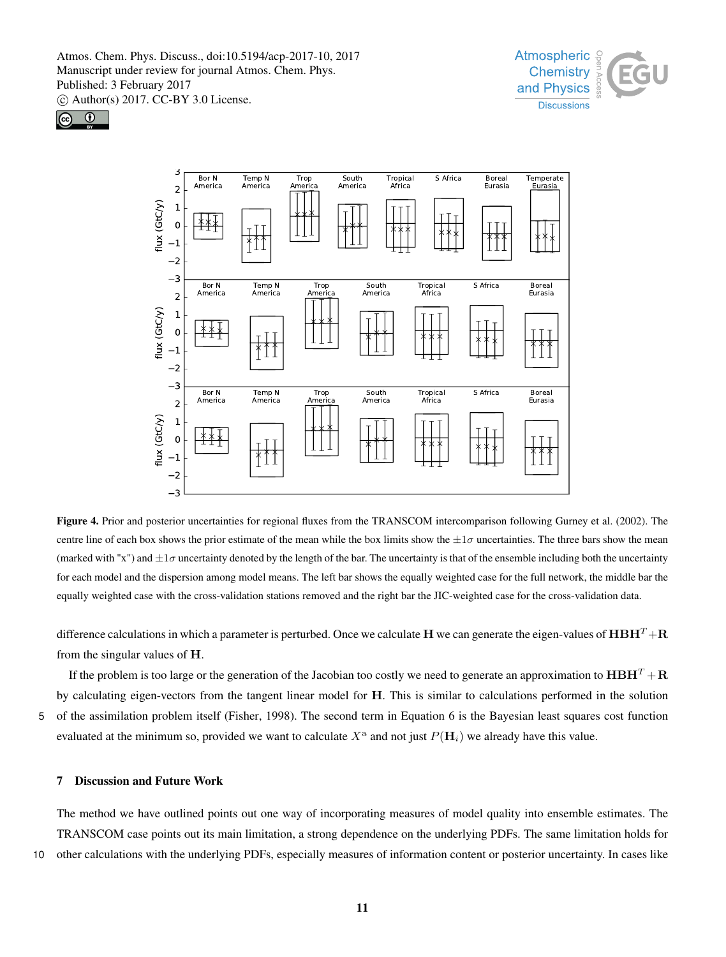





Figure 4. Prior and posterior uncertainties for regional fluxes from the TRANSCOM intercomparison following Gurney et al. (2002). The centre line of each box shows the prior estimate of the mean while the box limits show the  $\pm 1\sigma$  uncertainties. The three bars show the mean (marked with "x") and  $\pm 1\sigma$  uncertainty denoted by the length of the bar. The uncertainty is that of the ensemble including both the uncertainty for each model and the dispersion among model means. The left bar shows the equally weighted case for the full network, the middle bar the equally weighted case with the cross-validation stations removed and the right bar the JIC-weighted case for the cross-validation data.

difference calculations in which a parameter is perturbed. Once we calculate H we can generate the eigen-values of  $\bf{H}BH^T + R$ from the singular values of H.

If the problem is too large or the generation of the Jacobian too costly we need to generate an approximation to  $\mathbf{H}\mathbf{B}\mathbf{H}^T + \mathbf{R}$ by calculating eigen-vectors from the tangent linear model for H. This is similar to calculations performed in the solution 5 of the assimilation problem itself (Fisher, 1998). The second term in Equation 6 is the Bayesian least squares cost function

evaluated at the minimum so, provided we want to calculate  $X^{\text{a}}$  and not just  $P(\mathbf{H}_i)$  we already have this value.

#### 7 Discussion and Future Work

The method we have outlined points out one way of incorporating measures of model quality into ensemble estimates. The TRANSCOM case points out its main limitation, a strong dependence on the underlying PDFs. The same limitation holds for 10 other calculations with the underlying PDFs, especially measures of information content or posterior uncertainty. In cases like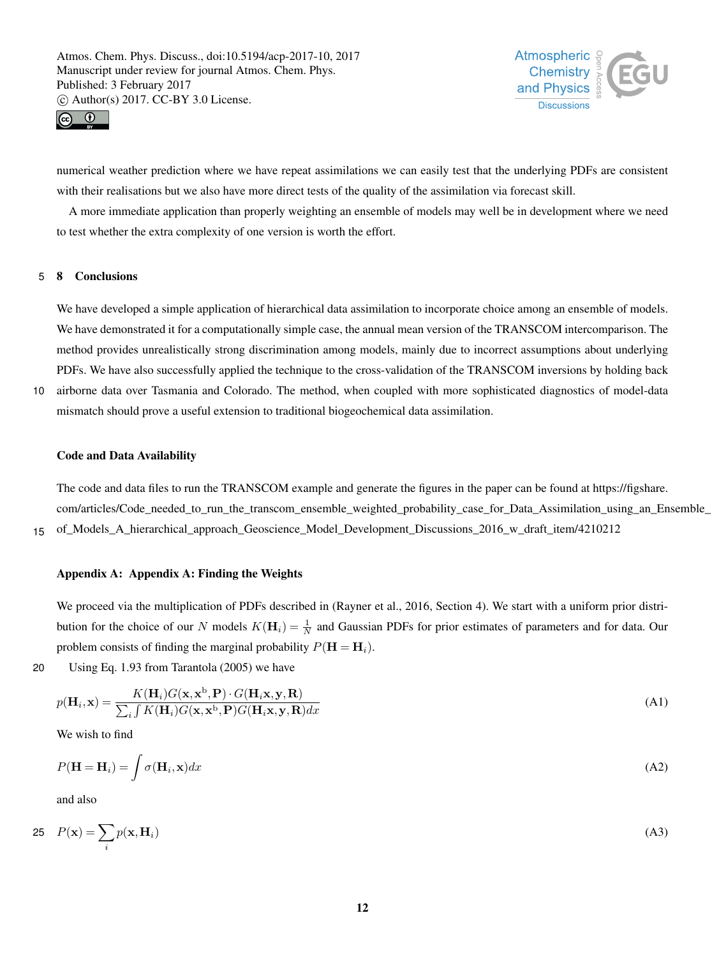



numerical weather prediction where we have repeat assimilations we can easily test that the underlying PDFs are consistent with their realisations but we also have more direct tests of the quality of the assimilation via forecast skill.

A more immediate application than properly weighting an ensemble of models may well be in development where we need to test whether the extra complexity of one version is worth the effort.

#### 5 8 Conclusions

We have developed a simple application of hierarchical data assimilation to incorporate choice among an ensemble of models. We have demonstrated it for a computationally simple case, the annual mean version of the TRANSCOM intercomparison. The method provides unrealistically strong discrimination among models, mainly due to incorrect assumptions about underlying PDFs. We have also successfully applied the technique to the cross-validation of the TRANSCOM inversions by holding back

10 airborne data over Tasmania and Colorado. The method, when coupled with more sophisticated diagnostics of model-data mismatch should prove a useful extension to traditional biogeochemical data assimilation.

#### Code and Data Availability

The code and data files to run the TRANSCOM example and generate the figures in the paper can be found at https://figshare. com/articles/Code\_needed\_to\_run\_the\_transcom\_ensemble\_weighted\_probability\_case\_for\_Data\_Assimilation\_using\_an\_Ensemble 15 of\_Models\_A\_hierarchical\_approach\_Geoscience\_Model\_Development\_Discussions\_2016\_w\_draft\_item/4210212

#### Appendix A: Appendix A: Finding the Weights

We proceed via the multiplication of PDFs described in (Rayner et al., 2016, Section 4). We start with a uniform prior distribution for the choice of our N models  $K(\mathbf{H}_i) = \frac{1}{N}$  and Gaussian PDFs for prior estimates of parameters and for data. Our problem consists of finding the marginal probability  $P(\mathbf{H} = \mathbf{H}_i)$ .

20 Using Eq. 1.93 from Tarantola (2005) we have

$$
p(\mathbf{H}_i, \mathbf{x}) = \frac{K(\mathbf{H}_i)G(\mathbf{x}, \mathbf{x}^{\mathrm{b}}, \mathbf{P}) \cdot G(\mathbf{H}_i \mathbf{x}, \mathbf{y}, \mathbf{R})}{\sum_i \int K(\mathbf{H}_i)G(\mathbf{x}, \mathbf{x}^{\mathrm{b}}, \mathbf{P})G(\mathbf{H}_i \mathbf{x}, \mathbf{y}, \mathbf{R})dx}
$$
(A1)

We wish to find

$$
P(\mathbf{H} = \mathbf{H}_i) = \int \sigma(\mathbf{H}_i, \mathbf{x}) dx
$$
 (A2)

and also

$$
P(\mathbf{x}) = \sum_{i} p(\mathbf{x}, \mathbf{H}_i) \tag{A3}
$$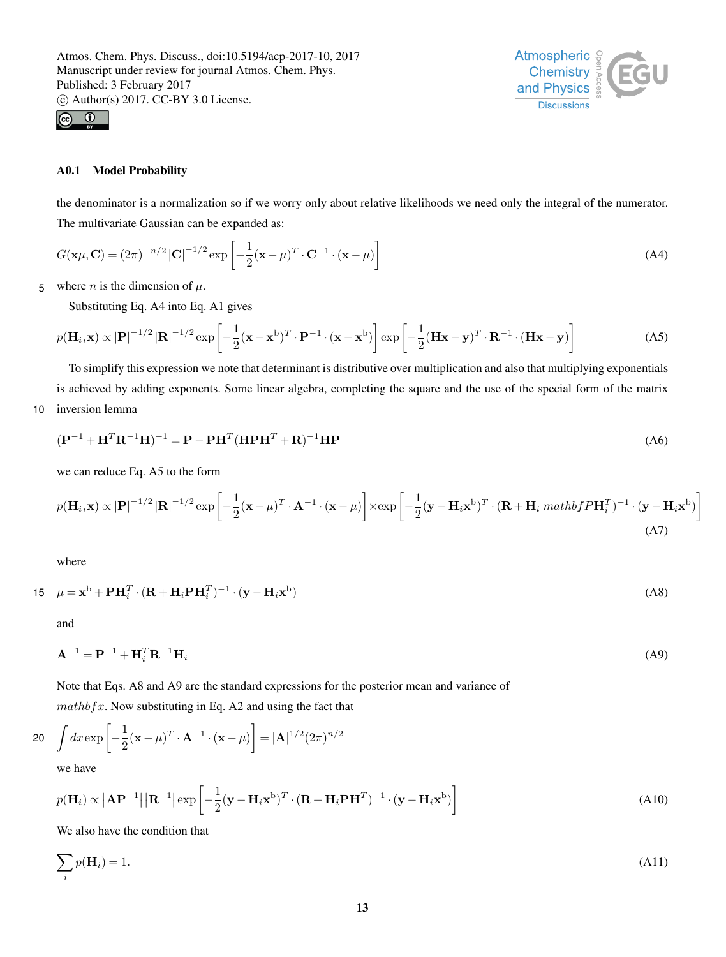



# A0.1 Model Probability

the denominator is a normalization so if we worry only about relative likelihoods we need only the integral of the numerator. The multivariate Gaussian can be expanded as:

$$
G(\mathbf{x}\mu, \mathbf{C}) = (2\pi)^{-n/2} |\mathbf{C}|^{-1/2} \exp\left[-\frac{1}{2}(\mathbf{x} - \mu)^T \cdot \mathbf{C}^{-1} \cdot (\mathbf{x} - \mu)\right]
$$
(A4)

5 where *n* is the dimension of  $\mu$ .

Substituting Eq. A4 into Eq. A1 gives

$$
p(\mathbf{H}_i, \mathbf{x}) \propto |\mathbf{P}|^{-1/2} |\mathbf{R}|^{-1/2} \exp\left[ -\frac{1}{2} (\mathbf{x} - \mathbf{x}^{\mathrm{b}})^T \cdot \mathbf{P}^{-1} \cdot (\mathbf{x} - \mathbf{x}^{\mathrm{b}}) \right] \exp\left[ -\frac{1}{2} (\mathbf{H} \mathbf{x} - \mathbf{y})^T \cdot \mathbf{R}^{-1} \cdot (\mathbf{H} \mathbf{x} - \mathbf{y}) \right]
$$
(A5)

To simplify this expression we note that determinant is distributive over multiplication and also that multiplying exponentials is achieved by adding exponents. Some linear algebra, completing the square and the use of the special form of the matrix 10 inversion lemma

$$
(\mathbf{P}^{-1} + \mathbf{H}^T \mathbf{R}^{-1} \mathbf{H})^{-1} = \mathbf{P} - \mathbf{P} \mathbf{H}^T (\mathbf{H} \mathbf{P} \mathbf{H}^T + \mathbf{R})^{-1} \mathbf{H} \mathbf{P}
$$
(A6)

we can reduce Eq. A5 to the form

$$
p(\mathbf{H}_{i}, \mathbf{x}) \propto |\mathbf{P}|^{-1/2} |\mathbf{R}|^{-1/2} \exp \left[ -\frac{1}{2} (\mathbf{x} - \mu)^{T} \cdot \mathbf{A}^{-1} \cdot (\mathbf{x} - \mu) \right] \times \exp \left[ -\frac{1}{2} (\mathbf{y} - \mathbf{H}_{i} \mathbf{x}^{b})^{T} \cdot (\mathbf{R} + \mathbf{H}_{i} \mathit{mathbf{H}^{b}})^{T} \cdot (\mathbf{y} - \mathbf{H}_{i} \mathbf{x}^{b}) \right]
$$
\n(A7)

where

$$
15 \quad \mu = \mathbf{x}^{\mathrm{b}} + \mathbf{P} \mathbf{H}_{i}^{T} \cdot (\mathbf{R} + \mathbf{H}_{i} \mathbf{P} \mathbf{H}_{i}^{T})^{-1} \cdot (\mathbf{y} - \mathbf{H}_{i} \mathbf{x}^{\mathrm{b}})
$$
\n(A8)

and

$$
\mathbf{A}^{-1} = \mathbf{P}^{-1} + \mathbf{H}_i^T \mathbf{R}^{-1} \mathbf{H}_i
$$
 (A9)

Note that Eqs. A8 and A9 are the standard expressions for the posterior mean and variance of

 $mathbf{x}$ . Now substituting in Eq. A2 and using the fact that

$$
20 \quad \int dx \exp\left[-\frac{1}{2}(\mathbf{x} - \mu)^T \cdot \mathbf{A}^{-1} \cdot (\mathbf{x} - \mu)\right] = |\mathbf{A}|^{1/2} (2\pi)^{n/2}
$$

we have

$$
p(\mathbf{H}_i) \propto |\mathbf{A}\mathbf{P}^{-1}| |\mathbf{R}^{-1}| \exp\left[-\frac{1}{2}(\mathbf{y} - \mathbf{H}_i \mathbf{x}^{\mathrm{b}})^T \cdot (\mathbf{R} + \mathbf{H}_i \mathbf{P} \mathbf{H}^T)^{-1} \cdot (\mathbf{y} - \mathbf{H}_i \mathbf{x}^{\mathrm{b}})\right]
$$
(A10)

We also have the condition that

$$
\sum_{i} p(\mathbf{H}_i) = 1. \tag{A11}
$$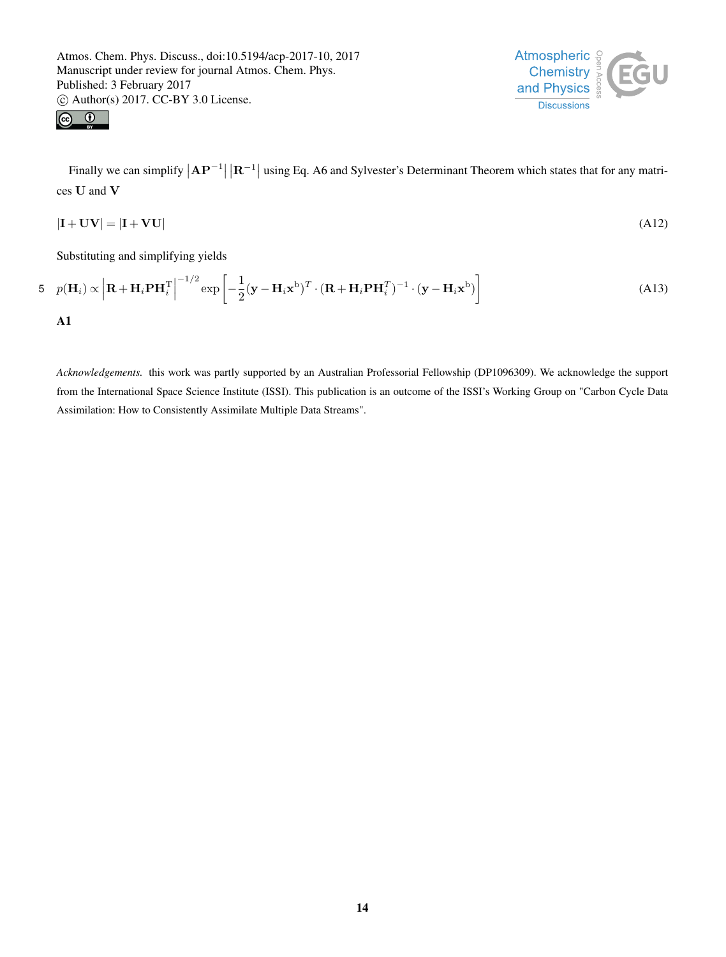



Finally we can simplify  $|AP^{-1}| |R^{-1}|$  using Eq. A6 and Sylvester's Determinant Theorem which states that for any matrices U and V

$$
|\mathbf{I} + \mathbf{U}\mathbf{V}| = |\mathbf{I} + \mathbf{V}\mathbf{U}| \tag{A12}
$$

Substituting and simplifying yields

5 
$$
p(\mathbf{H}_i) \propto \left| \mathbf{R} + \mathbf{H}_i \mathbf{P} \mathbf{H}_i^{\mathrm{T}} \right|^{-1/2} \exp \left[ -\frac{1}{2} (\mathbf{y} - \mathbf{H}_i \mathbf{x}^{\mathrm{b}})^T \cdot (\mathbf{R} + \mathbf{H}_i \mathbf{P} \mathbf{H}_i^T)^{-1} \cdot (\mathbf{y} - \mathbf{H}_i \mathbf{x}^{\mathrm{b}}) \right]
$$
 (A13)  
\nA1

*Acknowledgements.* this work was partly supported by an Australian Professorial Fellowship (DP1096309). We acknowledge the support from the International Space Science Institute (ISSI). This publication is an outcome of the ISSI's Working Group on "Carbon Cycle Data Assimilation: How to Consistently Assimilate Multiple Data Streams".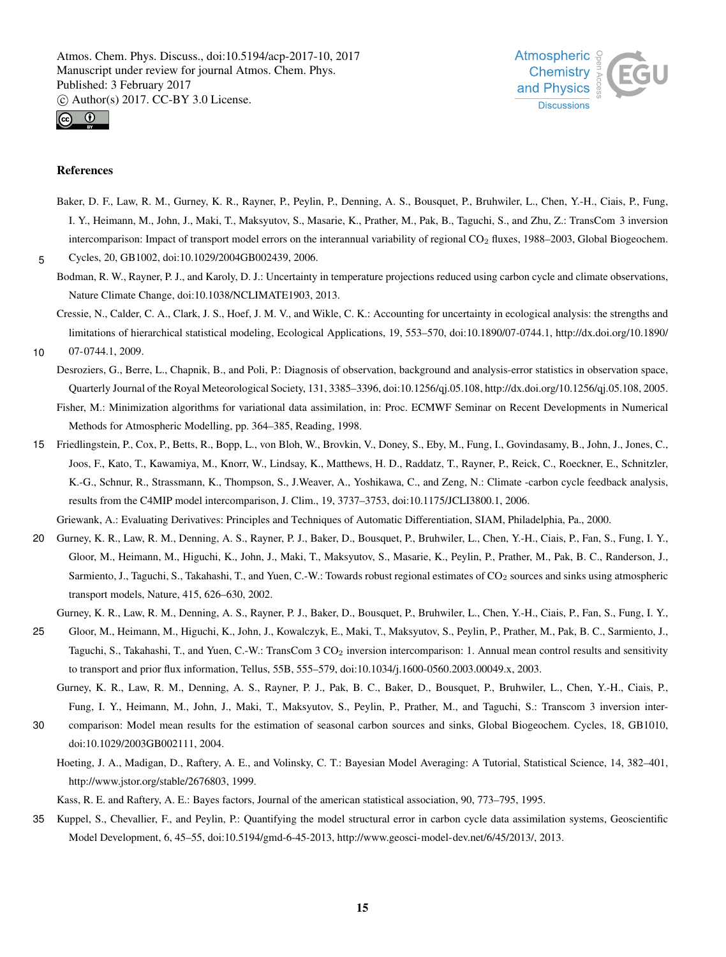



#### References

Baker, D. F., Law, R. M., Gurney, K. R., Rayner, P., Peylin, P., Denning, A. S., Bousquet, P., Bruhwiler, L., Chen, Y.-H., Ciais, P., Fung, I. Y., Heimann, M., John, J., Maki, T., Maksyutov, S., Masarie, K., Prather, M., Pak, B., Taguchi, S., and Zhu, Z.: TransCom 3 inversion intercomparison: Impact of transport model errors on the interannual variability of regional CO<sub>2</sub> fluxes, 1988–2003, Global Biogeochem.

5 Cycles, 20, GB1002, doi:10.1029/2004GB002439, 2006.

- Bodman, R. W., Rayner, P. J., and Karoly, D. J.: Uncertainty in temperature projections reduced using carbon cycle and climate observations, Nature Climate Change, doi:10.1038/NCLIMATE1903, 2013.
- Cressie, N., Calder, C. A., Clark, J. S., Hoef, J. M. V., and Wikle, C. K.: Accounting for uncertainty in ecological analysis: the strengths and limitations of hierarchical statistical modeling, Ecological Applications, 19, 553–570, doi:10.1890/07-0744.1, http://dx.doi.org/10.1890/
- 10 07-0744.1, 2009.
	- Desroziers, G., Berre, L., Chapnik, B., and Poli, P.: Diagnosis of observation, background and analysis-error statistics in observation space, Quarterly Journal of the Royal Meteorological Society, 131, 3385–3396, doi:10.1256/qj.05.108, http://dx.doi.org/10.1256/qj.05.108, 2005. Fisher, M.: Minimization algorithms for variational data assimilation, in: Proc. ECMWF Seminar on Recent Developments in Numerical
		- Methods for Atmospheric Modelling, pp. 364–385, Reading, 1998.
- 15 Friedlingstein, P., Cox, P., Betts, R., Bopp, L., von Bloh, W., Brovkin, V., Doney, S., Eby, M., Fung, I., Govindasamy, B., John, J., Jones, C., Joos, F., Kato, T., Kawamiya, M., Knorr, W., Lindsay, K., Matthews, H. D., Raddatz, T., Rayner, P., Reick, C., Roeckner, E., Schnitzler, K.-G., Schnur, R., Strassmann, K., Thompson, S., J.Weaver, A., Yoshikawa, C., and Zeng, N.: Climate -carbon cycle feedback analysis, results from the C4MIP model intercomparison, J. Clim., 19, 3737–3753, doi:10.1175/JCLI3800.1, 2006.

Griewank, A.: Evaluating Derivatives: Principles and Techniques of Automatic Differentiation, SIAM, Philadelphia, Pa., 2000.

20 Gurney, K. R., Law, R. M., Denning, A. S., Rayner, P. J., Baker, D., Bousquet, P., Bruhwiler, L., Chen, Y.-H., Ciais, P., Fan, S., Fung, I. Y., Gloor, M., Heimann, M., Higuchi, K., John, J., Maki, T., Maksyutov, S., Masarie, K., Peylin, P., Prather, M., Pak, B. C., Randerson, J., Sarmiento, J., Taguchi, S., Takahashi, T., and Yuen, C.-W.: Towards robust regional estimates of CO<sub>2</sub> sources and sinks using atmospheric transport models, Nature, 415, 626–630, 2002.

Gurney, K. R., Law, R. M., Denning, A. S., Rayner, P. J., Baker, D., Bousquet, P., Bruhwiler, L., Chen, Y.-H., Ciais, P., Fan, S., Fung, I. Y.,

- 25 Gloor, M., Heimann, M., Higuchi, K., John, J., Kowalczyk, E., Maki, T., Maksyutov, S., Peylin, P., Prather, M., Pak, B. C., Sarmiento, J., Taguchi, S., Takahashi, T., and Yuen, C.-W.: TransCom 3 CO<sub>2</sub> inversion intercomparison: 1. Annual mean control results and sensitivity to transport and prior flux information, Tellus, 55B, 555–579, doi:10.1034/j.1600-0560.2003.00049.x, 2003.
	- Gurney, K. R., Law, R. M., Denning, A. S., Rayner, P. J., Pak, B. C., Baker, D., Bousquet, P., Bruhwiler, L., Chen, Y.-H., Ciais, P., Fung, I. Y., Heimann, M., John, J., Maki, T., Maksyutov, S., Peylin, P., Prather, M., and Taguchi, S.: Transcom 3 inversion inter-
- 30 comparison: Model mean results for the estimation of seasonal carbon sources and sinks, Global Biogeochem. Cycles, 18, GB1010, doi:10.1029/2003GB002111, 2004.
	- Hoeting, J. A., Madigan, D., Raftery, A. E., and Volinsky, C. T.: Bayesian Model Averaging: A Tutorial, Statistical Science, 14, 382–401, http://www.jstor.org/stable/2676803, 1999.

Kass, R. E. and Raftery, A. E.: Bayes factors, Journal of the american statistical association, 90, 773–795, 1995.

35 Kuppel, S., Chevallier, F., and Peylin, P.: Quantifying the model structural error in carbon cycle data assimilation systems, Geoscientific Model Development, 6, 45–55, doi:10.5194/gmd-6-45-2013, http://www.geosci-model-dev.net/6/45/2013/, 2013.